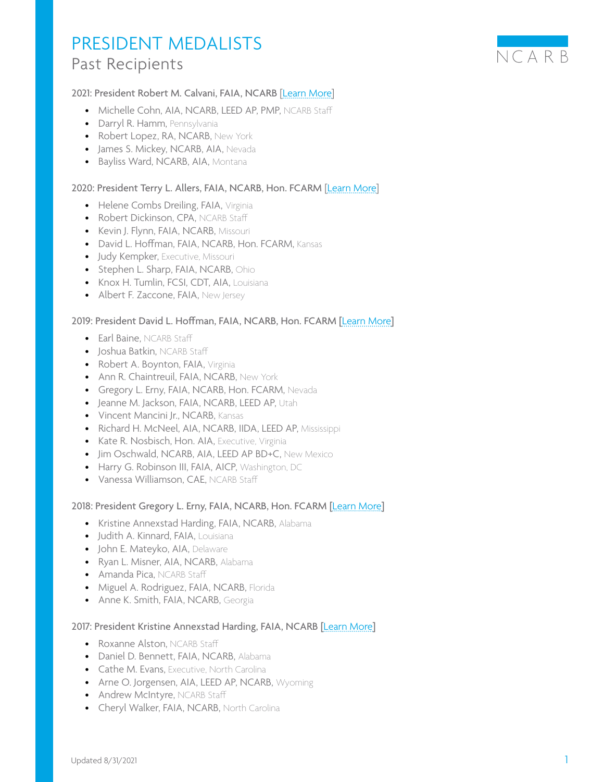

## 2021: President Robert M. Calvani, FAIA, NCARB [[Learn More](https://www.ncarb.org/press/five-awarded-the-ncarb-president-s-medal-distinguished-service)]

- Michelle Cohn, AIA, NCARB, LEED AP, PMP, NCARB Staff
- Darryl R. Hamm, Pennsylvania
- Robert Lopez, RA, NCARB, New York
- James S. Mickey, NCARB, AIA, Nevada
- Bayliss Ward, NCARB, AIA, Montana

#### 2020: President Terry L. Allers, FAIA, NCARB, Hon. FCARM [[Learn More\]](https://www.ncarb.org/press/eight-awarded-the-ncarb-president-medal-distinguished-service)

- Helene Combs Dreiling, FAIA, Virginia
- Robert Dickinson, CPA, NCARB Staff
- Kevin J. Flynn, FAIA, NCARB, Missouri
- David L. Hoffman, FAIA, NCARB, Hon. FCARM, Kansas
- Judy Kempker, Executive, Missouri
- Stephen L. Sharp, FAIA, NCARB, Ohio
- Knox H. Tumlin, FCSI, CDT, AIA, Louisiana
- Albert F. Zaccone, FAIA, New Jersey

#### 2019: President David L. Hoffman, FAIA, NCARB, Hon. FCARM [[Learn More](https://www.ncarb.org/press/twelve-awarded-the-ncarb-president-s-medal-distinguished-service)]

- Earl Baine, NCARB Staff
- Joshua Batkin, NCARB Staff
- Robert A. Boynton, FAIA, Virginia
- Ann R. Chaintreuil, FAIA, NCARB, New York
- Gregory L. Erny, FAIA, NCARB, Hon. FCARM, Nevada
- Jeanne M. Jackson, FAIA, NCARB, LEED AP, Utah
- Vincent Mancini Jr., NCARB, Kansas
- Richard H. McNeel, AIA, NCARB, IIDA, LEED AP, Mississippi
- Kate R. Nosbisch, Hon. AIA, Executive, Virginia
- Jim Oschwald, NCARB, AIA, LEED AP BD+C, New Mexico
- Harry G. Robinson III, FAIA, AICP, Washington, DC
- Vanessa Williamson, CAE, NCARB Staff

#### 2018: President Gregory L. Erny, FAIA, NCARB, Hon. FCARM [[Learn More](https://www.ncarb.org/press/seven-awarded-ncarb-presidents-medal-distinguished-service)]

- Kristine Annexstad Harding, FAIA, NCARB, Alabama
- Judith A. Kinnard, FAIA, Louisiana
- John E. Mateyko, AIA, Delaware
- Ryan L. Misner, AIA, NCARB, Alabama
- Amanda Pica, NCARB Staff
- Miguel A. Rodriguez, FAIA, NCARB, Florida
- Anne K. Smith, FAIA, NCARB, Georgia

#### 2017: President Kristine Annexstad Harding, FAIA, NCARB [[Learn More](https://www.ncarb.org/press/2017-presidents-medalists)]

- Roxanne Alston, NCARB Staff
- Daniel D. Bennett, FAIA, NCARB, Alabama
- Cathe M. Evans, Executive, North Carolina
- Arne O. Jorgensen, AIA, LEED AP, NCARB, Wyoming
- Andrew McIntyre, NCARB Staff
- Cheryl Walker, FAIA, NCARB, North Carolina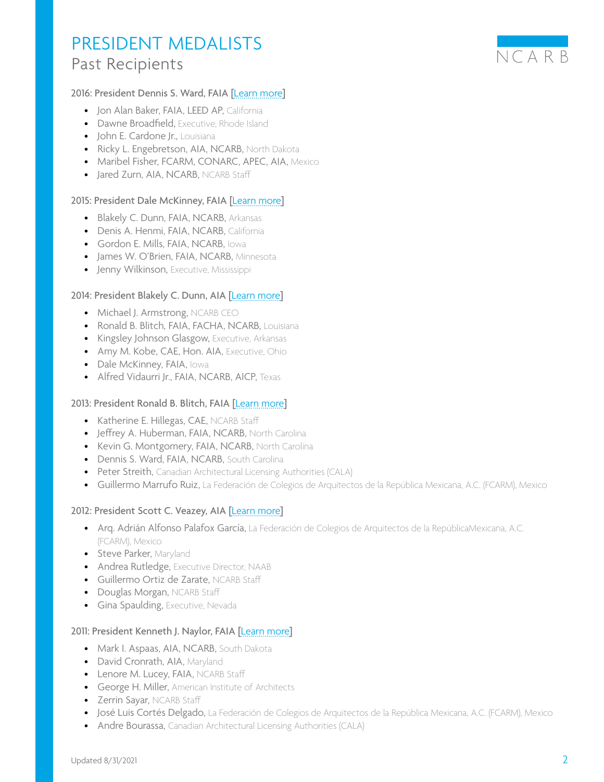# 2016: President Dennis S. Ward, FAIA [[Learn more](https://www.ncarb.org/press/six-awarded-ncarb-president%E2%80%99s-medal-distinguished-service)]

- Jon Alan Baker, FAIA, LEED AP, California
- Dawne Broadfield, Executive, Rhode Island
- John E. Cardone Jr., Louisiana
- Ricky L. Engebretson, AIA, NCARB, North Dakota
- Maribel Fisher, FCARM, CONARC, APEC, AIA, Mexico
- Jared Zurn, AIA, NCARB, NCARB Staff

## 2015: President Dale McKinney, FAIA [[Learn more](https://www.ncarb.org/press/five-awarded-president-s-medal-distinguished-service)]

- Blakely C. Dunn, FAIA, NCARB, Arkansas
- Denis A. Henmi, FAIA, NCARB, California
- Gordon E. Mills, FAIA, NCARB, Iowa
- James W. O'Brien, FAIA, NCARB, Minnesota
- Jenny Wilkinson, Executive, Mississippi

### 2014: President Blakely C. Dunn, AIA [[Learn more](https://www.ncarb.org/press/six-awarded-ncarb-presidents-medal-distinguished-service)]

- Michael J. Armstrong, NCARB CEO
- Ronald B. Blitch, FAIA, FACHA, NCARB, Louisiana
- Kingsley Johnson Glasgow, Executive, Arkansas
- Amy M. Kobe, CAE, Hon. AIA, Executive, Ohio
- Dale McKinney, FAIA, Iowa
- Alfred Vidaurri Jr., FAIA, NCARB, AICP, Texas

#### 2013: President Ronald B. Blitch, FAIA [[Learn more](https://www.ncarb.org/press/2013-ncarb-presidents-medal-distinguished-service)]

- Katherine E. Hillegas, CAE, NCARB Staff
- Jeffrey A. Huberman, FAIA, NCARB, North Carolina
- Kevin G. Montgomery, FAIA, NCARB, North Carolina
- Dennis S. Ward, FAIA, NCARB, South Carolina
- Peter Streith, Canadian Architectural Licensing Authorities (CALA)
- Guillermo Marrufo Ruiz, La Federación de Colegios de Arquitectos de la República Mexicana, A.C. (FCARM), Mexico

#### 2012: President Scott C. Veazey, AIA [[Learn more](https://www.ncarb.org/press/ncarb-presidents-medal-awarded-five-their-service-public-and-profession)]

- Arq. Adrián Alfonso Palafox García, La Federación de Colegios de Arquitectos de la RepúblicaMexicana, A.C. (FCARM), Mexico
- Steve Parker, Maryland
- Andrea Rutledge, Executive Director, NAAB
- Guillermo Ortiz de Zarate, NCARB Staff
- Douglas Morgan, NCARB Staff
- Gina Spaulding, Executive, Nevada

#### 2011: President Kenneth J. Naylor, FAIA [[Learn more](https://www.ncarb.org/press/2011-presidents-medal-awarded-seven)]

- Mark I. Aspaas, AIA, NCARB, South Dakota
- David Cronrath, AIA, Maryland
- Lenore M. Lucey, FAIA, NCARB Staff
- George H. Miller, American Institute of Architects
- Zerrin Sayar, NCARB Staff
- José Luis Cortés Delgado, La Federación de Colegios de Arquitectos de la República Mexicana, A.C. (FCARM), Mexico
- Andre Bourassa, Canadian Architectural Licensing Authorities (CALA)

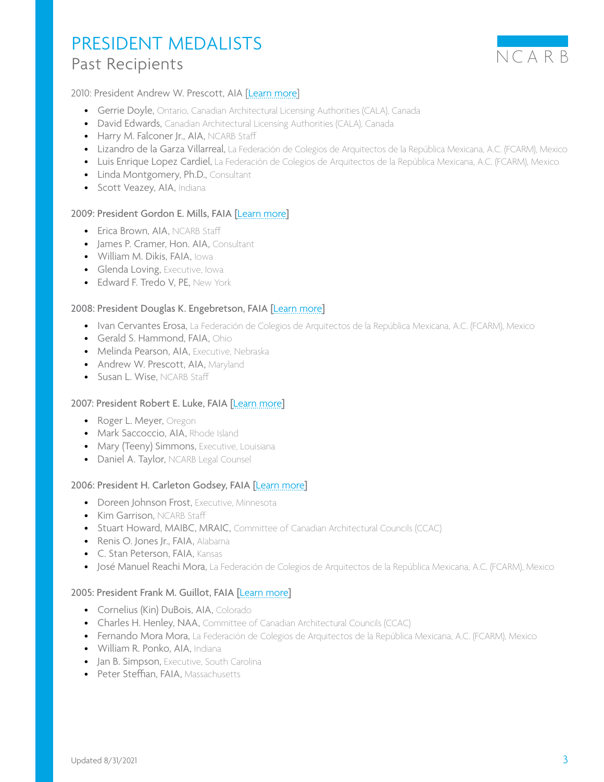

## 2010: President Andrew W. Prescott, AIA [[Learn more](https://www.ncarb.org/press/2010-presidents-medal)]

- Gerrie Doyle, Ontario, Canadian Architectural Licensing Authorities (CALA), Canada
- David Edwards, Canadian Architectural Licensing Authorities (CALA), Canada
- Harry M. Falconer Jr., AIA, NCARB Staff
- Lizandro de la Garza Villarreal, La Federación de Colegios de Arquitectos de la República Mexicana, A.C. (FCARM), Mexico
- Luis Enrique Lopez Cardiel, La Federación de Colegios de Arquitectos de la República Mexicana, A.C. (FCARM), Mexico
- Linda Montgomery, Ph.D., Consultant
- Scott Veazey, AIA, Indiana

### 2009: President Gordon E. Mills, FAIA [[Learn more](https://www.ncarb.org/press/council-names-recipients-2009-presidents-medal-distinguished-service)]

- Erica Brown, AIA, NCARB Staff
- James P. Cramer, Hon. AIA, Consultant
- William M. Dikis, FAIA, Iowa
- Glenda Loving, Executive, Iowa
- Edward F. Tredo V, PE, New York

### 2008: President Douglas K. Engebretson, FAIA [[Learn more](https://www.ncarb.org/press/national-architect-council-names-recipients-2008-president-s-medal-distinguished-service)]

- Ivan Cervantes Erosa, La Federación de Colegios de Arquitectos de la República Mexicana, A.C. (FCARM), Mexico
- Gerald S. Hammond, FAIA, Ohio
- Melinda Pearson, AIA, Executive, Nebraska
- Andrew W. Prescott, AIA, Maryland
- Susan L. Wise, NCARB Staff

#### 2007: President Robert E. Luke, FAIA [[Learn more](https://www.ncarb.org/press/ncarb-names-recipients-2007-president-medal-distinguished-service)]

- Roger L. Meyer, Oregon
- Mark Saccoccio, AIA, Rhode Island
- Mary (Teeny) Simmons, Executive, Louisiana
- Daniel A. Taylor, NCARB Legal Counsel

#### 2006: President H. Carleton Godsey, FAIA [[Learn more](https://www.ncarb.org/press/ncarb-names-recipients-2006-presidents-medal-distinguished-service)]

- Doreen Johnson Frost, Executive, Minnesota
- Kim Garrison, NCARB Staff
- Stuart Howard, MAIBC, MRAIC, Committee of Canadian Architectural Councils (CCAC)
- Renis O. Jones Jr., FAIA, Alabama
- C. Stan Peterson, FAIA, Kansas
- José Manuel Reachi Mora, La Federación de Colegios de Arquitectos de la República Mexicana, A.C. (FCARM), Mexico

# 2005: President Frank M. Guillot, FAIA [[Learn more](https://www.ncarb.org/press/national-architect-council-names-recipients-2005-presidents-medal-distinguished-service)]

- Cornelius (Kin) DuBois, AIA, Colorado
- Charles H. Henley, NAA, Committee of Canadian Architectural Councils (CCAC)
- Fernando Mora Mora, La Federación de Colegios de Arquitectos de la República Mexicana, A.C. (FCARM), Mexico
- William R. Ponko, AIA, Indiana
- Jan B. Simpson, Executive, South Carolina
- Peter Steffian, FAIA, Massachusetts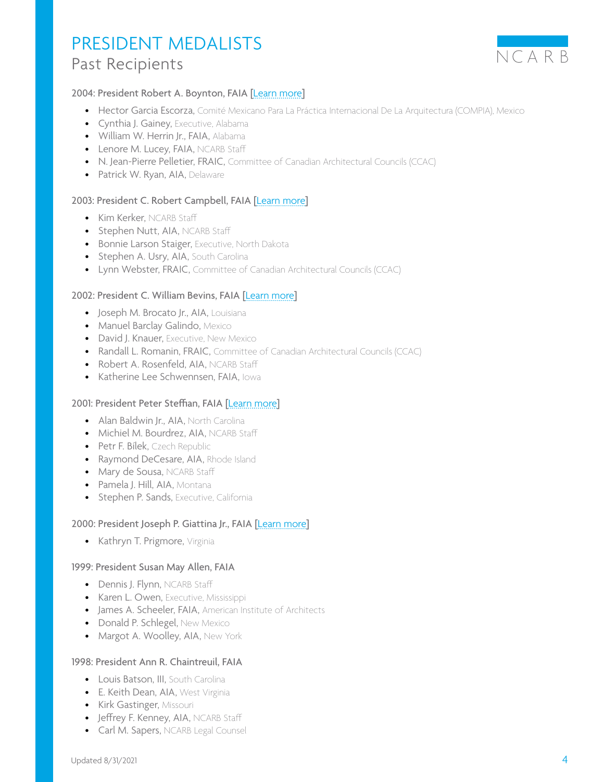

# 2004: President Robert A. Boynton, FAIA [[Learn more](https://www.ncarb.org/press/ncarb-awards-2004-presidents-medals)]

- Hector Garcia Escorza, Comité Mexicano Para La Práctica Internacional De La Arquitectura (COMPIA), Mexico
- Cynthia J. Gainey, Executive, Alabama
- William W. Herrin Jr., FAIA, Alabama
- Lenore M. Lucey, FAIA, NCARB Staff
- N. Jean-Pierre Pelletier, FRAIC, Committee of Canadian Architectural Councils (CCAC)
- Patrick W. Ryan, AIA, Delaware

### 2003: President C. Robert Campbell, FAIA [[Learn more](https://www.ncarb.org/press/ncarb-names-recipients-2003-presidents-medals-distinguished-service)]

- Kim Kerker, NCARB Staff
- Stephen Nutt, AIA, NCARB Staff
- Bonnie Larson Staiger, Executive, North Dakota
- Stephen A. Usry, AIA, South Carolina
- Lynn Webster, FRAIC, Committee of Canadian Architectural Councils (CCAC)

#### 2002: President C. William Bevins, FAIA [[Learn more](https://www.ncarb.org/press/ncarb-names-recipients-presidential-medals-2002)]

- Joseph M. Brocato Jr., AIA, Louisiana
- Manuel Barclay Galindo, Mexico
- David J. Knauer, Executive, New Mexico
- Randall L. Romanin, FRAIC, Committee of Canadian Architectural Councils (CCAC)
- Robert A. Rosenfeld, AIA, NCARB Staff
- Katherine Lee Schwennsen, FAIA, Iowa

#### 2001: President Peter Steffian, FAIA [[Learn more](https://www.ncarb.org/press/national-architect-council-names-recipients-presidential-medals)]

- Alan Baldwin Jr., AIA, North Carolina
- Michiel M. Bourdrez, AIA, NCARB Staff
- Petr F. Bílek, Czech Republic
- Raymond DeCesare, AIA, Rhode Island
- Mary de Sousa, NCARB Staff
- Pamela J. Hill, AIA, Montana
- Stephen P. Sands, Executive, California

## 2000: President Joseph P. Giattina Jr., FAIA [[Learn more](https://www.ncarb.org/press/2000-NCARB-presidential-medal-distinguished-service)]

• Kathryn T. Prigmore, Virginia

#### 1999: President Susan May Allen, FAIA

- Dennis J. Flynn, NCARB Staff
- Karen L. Owen, Executive, Mississippi
- James A. Scheeler, FAIA, American Institute of Architects
- Donald P. Schlegel, New Mexico
- Margot A. Woolley, AIA, New York

#### 1998: President Ann R. Chaintreuil, FAIA

- Louis Batson, III, South Carolina
- E. Keith Dean, AIA, West Virginia
- Kirk Gastinger, Missouri
- Jeffrey F. Kenney, AIA, NCARB Staff
- Carl M. Sapers, NCARB Legal Counsel